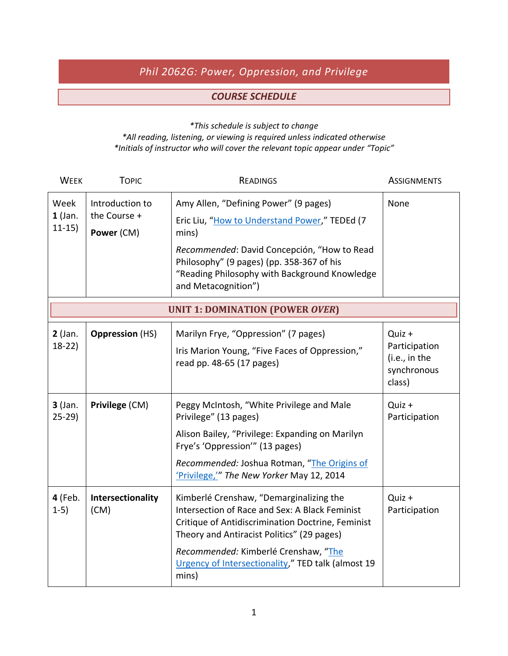## *Phil 2062G: Power, Oppression, and Privilege*

## *COURSE SCHEDULE*

*\*This schedule is subject to change*

*\*All reading, listening, or viewing is required unless indicated otherwise \*Initials of instructor who will cover the relevant topic appear under "Topic"*

| <b>WEEK</b>                            | <b>TOPIC</b>                                  | <b>READINGS</b>                                                                                                                                                                                                                                                                                     | <b>ASSIGNMENTS</b>                                                |  |  |  |
|----------------------------------------|-----------------------------------------------|-----------------------------------------------------------------------------------------------------------------------------------------------------------------------------------------------------------------------------------------------------------------------------------------------------|-------------------------------------------------------------------|--|--|--|
| Week<br>$1$ (Jan.<br>$11-15)$          | Introduction to<br>the Course +<br>Power (CM) | Amy Allen, "Defining Power" (9 pages)<br>Eric Liu, "How to Understand Power," TEDEd (7<br>mins)<br>Recommended: David Concepción, "How to Read<br>Philosophy" (9 pages) (pp. 358-367 of his<br>"Reading Philosophy with Background Knowledge<br>and Metacognition")                                 | None                                                              |  |  |  |
| <b>UNIT 1: DOMINATION (POWER OVER)</b> |                                               |                                                                                                                                                                                                                                                                                                     |                                                                   |  |  |  |
| $2$ (Jan.<br>$18-22$                   | <b>Oppression</b> (HS)                        | Marilyn Frye, "Oppression" (7 pages)<br>Iris Marion Young, "Five Faces of Oppression,"<br>read pp. 48-65 (17 pages)                                                                                                                                                                                 | Quiz +<br>Participation<br>(i.e., in the<br>synchronous<br>class) |  |  |  |
| $3$ (Jan.<br>$25-29$                   | Privilege (CM)                                | Peggy McIntosh, "White Privilege and Male<br>Privilege" (13 pages)<br>Alison Bailey, "Privilege: Expanding on Marilyn<br>Frye's 'Oppression'" (13 pages)<br>Recommended: Joshua Rotman, "The Origins of<br>'Privilege,'" The New Yorker May 12, 2014                                                | Quiz +<br>Participation                                           |  |  |  |
| 4 (Feb.<br>$1-5)$                      | Intersectionality<br>(CM)                     | Kimberlé Crenshaw, "Demarginalizing the<br>Intersection of Race and Sex: A Black Feminist<br>Critique of Antidiscrimination Doctrine, Feminist<br>Theory and Antiracist Politics" (29 pages)<br>Recommended: Kimberlé Crenshaw, "The<br>Urgency of Intersectionality," TED talk (almost 19<br>mins) | Quiz +<br>Participation                                           |  |  |  |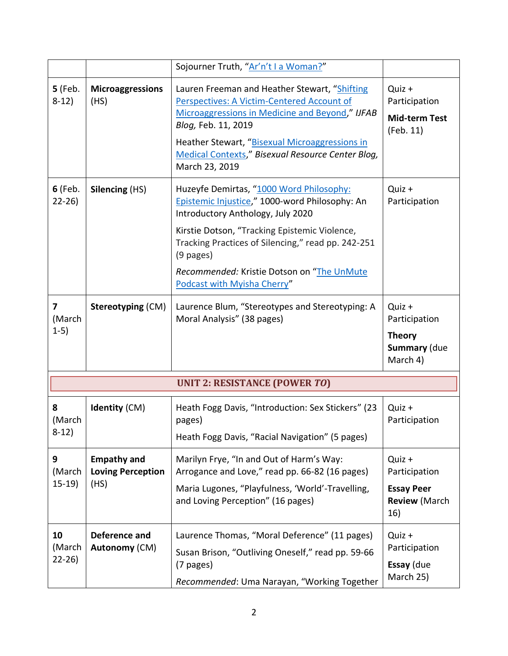|                           |                                                        | Sojourner Truth, "Ar'n't I a Woman?"                                                                                                                                                                                                                                                                                               |                                                                             |
|---------------------------|--------------------------------------------------------|------------------------------------------------------------------------------------------------------------------------------------------------------------------------------------------------------------------------------------------------------------------------------------------------------------------------------------|-----------------------------------------------------------------------------|
| <b>5</b> (Feb.<br>$8-12)$ | <b>Microaggressions</b><br>(HS)                        | Lauren Freeman and Heather Stewart, "Shifting<br>Perspectives: A Victim-Centered Account of<br>Microaggressions in Medicine and Beyond," IJFAB<br>Blog, Feb. 11, 2019<br>Heather Stewart, "Bisexual Microaggressions in<br>Medical Contexts," Bisexual Resource Center Blog,<br>March 23, 2019                                     | Quiz +<br>Participation<br><b>Mid-term Test</b><br>(Feb. 11)                |
| <b>6</b> (Feb.<br>$22-26$ | Silencing (HS)                                         | Huzeyfe Demirtas, "1000 Word Philosophy:<br>Epistemic Injustice," 1000-word Philosophy: An<br>Introductory Anthology, July 2020<br>Kirstie Dotson, "Tracking Epistemic Violence,<br>Tracking Practices of Silencing," read pp. 242-251<br>$(9$ pages)<br>Recommended: Kristie Dotson on "The UnMute<br>Podcast with Myisha Cherry" | Quiz +<br>Participation                                                     |
| 7<br>(March<br>$1-5)$     | Stereotyping (CM)                                      | Laurence Blum, "Stereotypes and Stereotyping: A<br>Moral Analysis" (38 pages)                                                                                                                                                                                                                                                      | Quiz +<br>Participation<br><b>Theory</b><br><b>Summary (due</b><br>March 4) |
|                           |                                                        | <b>UNIT 2: RESISTANCE (POWER TO)</b>                                                                                                                                                                                                                                                                                               |                                                                             |
| 8<br>(March<br>$8-12)$    | <b>Identity (CM)</b>                                   | Heath Fogg Davis, "Introduction: Sex Stickers" (23<br>pages)<br>Heath Fogg Davis, "Racial Navigation" (5 pages)                                                                                                                                                                                                                    | Quiz +<br>Participation                                                     |
| 9<br>(March<br>$15-19)$   | <b>Empathy and</b><br><b>Loving Perception</b><br>(HS) | Marilyn Frye, "In and Out of Harm's Way:<br>Arrogance and Love," read pp. 66-82 (16 pages)<br>Maria Lugones, "Playfulness, 'World'-Travelling,<br>and Loving Perception" (16 pages)                                                                                                                                                | Quiz +<br>Participation<br><b>Essay Peer</b><br><b>Review (March</b><br>16) |
| 10<br>(March<br>$22-26$   | Deference and<br>Autonomy (CM)                         | Laurence Thomas, "Moral Deference" (11 pages)<br>Susan Brison, "Outliving Oneself," read pp. 59-66<br>(7 pages)<br>Recommended: Uma Narayan, "Working Together                                                                                                                                                                     | Quiz +<br>Participation<br>Essay (due<br>March 25)                          |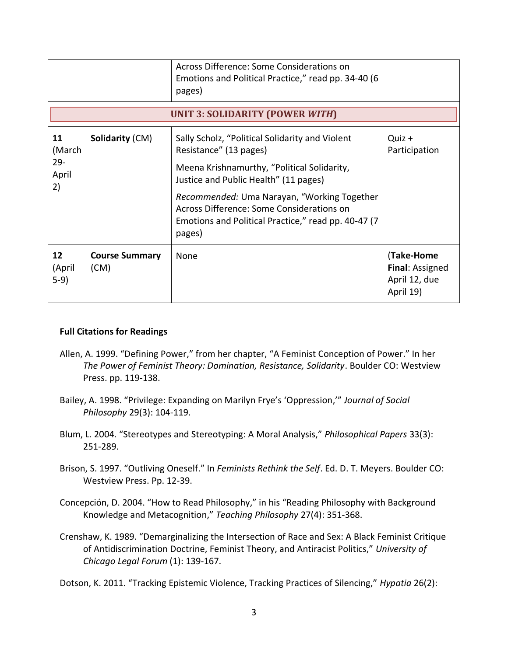|                                       |                               | Across Difference: Some Considerations on<br>Emotions and Political Practice," read pp. 34-40 (6<br>pages)                                                 |                                                             |  |  |  |
|---------------------------------------|-------------------------------|------------------------------------------------------------------------------------------------------------------------------------------------------------|-------------------------------------------------------------|--|--|--|
| UNIT 3: SOLIDARITY (POWER WITH)       |                               |                                                                                                                                                            |                                                             |  |  |  |
| 11<br>(March<br>$29 -$<br>April<br>2) | <b>Solidarity (CM)</b>        | Sally Scholz, "Political Solidarity and Violent<br>Resistance" (13 pages)                                                                                  | Quiz +<br>Participation                                     |  |  |  |
|                                       |                               | Meena Krishnamurthy, "Political Solidarity,<br>Justice and Public Health" (11 pages)                                                                       |                                                             |  |  |  |
|                                       |                               | Recommended: Uma Narayan, "Working Together<br>Across Difference: Some Considerations on<br>Emotions and Political Practice," read pp. 40-47 (7)<br>pages) |                                                             |  |  |  |
| 12<br>(April<br>$5-9)$                | <b>Course Summary</b><br>(CM) | None                                                                                                                                                       | (Take-Home<br>Final: Assigned<br>April 12, due<br>April 19) |  |  |  |

## **Full Citations for Readings**

- Allen, A. 1999. "Defining Power," from her chapter, "A Feminist Conception of Power." In her *The Power of Feminist Theory: Domination, Resistance, Solidarity*. Boulder CO: Westview Press. pp. 119-138.
- Bailey, A. 1998. "Privilege: Expanding on Marilyn Frye's 'Oppression,'" *Journal of Social Philosophy* 29(3): 104-119.
- Blum, L. 2004. "Stereotypes and Stereotyping: A Moral Analysis," *Philosophical Papers* 33(3): 251-289.
- Brison, S. 1997. "Outliving Oneself." In *Feminists Rethink the Self*. Ed. D. T. Meyers. Boulder CO: Westview Press. Pp. 12-39.
- Concepción, D. 2004. "How to Read Philosophy," in his "Reading Philosophy with Background Knowledge and Metacognition," *Teaching Philosophy* 27(4): 351-368.
- Crenshaw, K. 1989. "Demarginalizing the Intersection of Race and Sex: A Black Feminist Critique of Antidiscrimination Doctrine, Feminist Theory, and Antiracist Politics," *University of Chicago Legal Forum* (1): 139-167.

Dotson, K. 2011. "Tracking Epistemic Violence, Tracking Practices of Silencing," *Hypatia* 26(2):